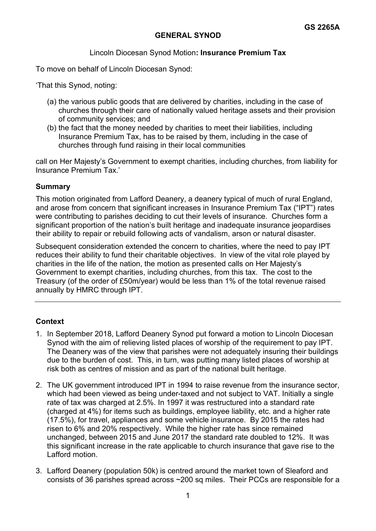# **GENERAL SYNOD**

## Lincoln Diocesan Synod Motion**: Insurance Premium Tax**

To move on behalf of Lincoln Diocesan Synod:

'That this Synod, noting:

- (a) the various public goods that are delivered by charities, including in the case of churches through their care of nationally valued heritage assets and their provision of community services; and
- (b) the fact that the money needed by charities to meet their liabilities, including Insurance Premium Tax, has to be raised by them, including in the case of churches through fund raising in their local communities

call on Her Majesty's Government to exempt charities, including churches, from liability for Insurance Premium Tax.'

#### **Summary**

This motion originated from Lafford Deanery, a deanery typical of much of rural England, and arose from concern that significant increases in Insurance Premium Tax ("IPT") rates were contributing to parishes deciding to cut their levels of insurance. Churches form a significant proportion of the nation's built heritage and inadequate insurance jeopardises their ability to repair or rebuild following acts of vandalism, arson or natural disaster.

Subsequent consideration extended the concern to charities, where the need to pay IPT reduces their ability to fund their charitable objectives. In view of the vital role played by charities in the life of the nation, the motion as presented calls on Her Majesty's Government to exempt charities, including churches, from this tax. The cost to the Treasury (of the order of £50m/year) would be less than 1% of the total revenue raised annually by HMRC through IPT.

## **Context**

- 1. In September 2018, Lafford Deanery Synod put forward a motion to Lincoln Diocesan Synod with the aim of relieving listed places of worship of the requirement to pay IPT. The Deanery was of the view that parishes were not adequately insuring their buildings due to the burden of cost. This, in turn, was putting many listed places of worship at risk both as centres of mission and as part of the national built heritage.
- 2. The UK government introduced IPT in 1994 to raise revenue from the insurance sector, which had been viewed as being under-taxed and not subject to VAT. Initially a single rate of tax was charged at 2.5%. In 1997 it was restructured into a standard rate (charged at 4%) for items such as buildings, employee liability, etc. and a higher rate (17.5%), for travel, appliances and some vehicle insurance. By 2015 the rates had risen to 6% and 20% respectively. While the higher rate has since remained unchanged, between 2015 and June 2017 the standard rate doubled to 12%. It was this significant increase in the rate applicable to church insurance that gave rise to the Lafford motion.
- 3. Lafford Deanery (population 50k) is centred around the market town of Sleaford and consists of 36 parishes spread across ~200 sq miles. Their PCCs are responsible for a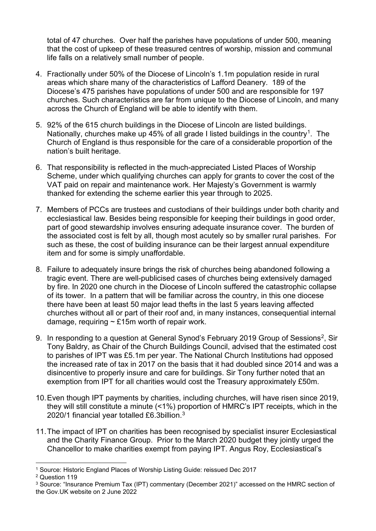total of 47 churches. Over half the parishes have populations of under 500, meaning that the cost of upkeep of these treasured centres of worship, mission and communal life falls on a relatively small number of people.

- 4. Fractionally under 50% of the Diocese of Lincoln's 1.1m population reside in rural areas which share many of the characteristics of Lafford Deanery. 189 of the Diocese's 475 parishes have populations of under 500 and are responsible for 197 churches. Such characteristics are far from unique to the Diocese of Lincoln, and many across the Church of England will be able to identify with them.
- 5. 92% of the 615 church buildings in the Diocese of Lincoln are listed buildings. Nationally, churches make up 45% of all grade I listed buildings in the country<sup>[1](#page-1-0)</sup>. The Church of England is thus responsible for the care of a considerable proportion of the nation's built heritage.
- 6. That responsibility is reflected in the much-appreciated Listed Places of Worship Scheme, under which qualifying churches can apply for grants to cover the cost of the VAT paid on repair and maintenance work. Her Majesty's Government is warmly thanked for extending the scheme earlier this year through to 2025.
- 7. Members of PCCs are trustees and custodians of their buildings under both charity and ecclesiastical law. Besides being responsible for keeping their buildings in good order, part of good stewardship involves ensuring adequate insurance cover. The burden of the associated cost is felt by all, though most acutely so by smaller rural parishes. For such as these, the cost of building insurance can be their largest annual expenditure item and for some is simply unaffordable.
- 8. Failure to adequately insure brings the risk of churches being abandoned following a tragic event. There are well-publicised cases of churches being extensively damaged by fire. In 2020 one church in the Diocese of Lincoln suffered the catastrophic collapse of its tower. In a pattern that will be familiar across the country, in this one diocese there have been at least 50 major lead thefts in the last 5 years leaving affected churches without all or part of their roof and, in many instances, consequential internal damage, requiring  $\sim$  £15m worth of repair work.
- 9. In responding to a question at General Synod's February [2](#page-1-1)019 Group of Sessions<sup>2</sup>, Sir Tony Baldry, as Chair of the Church Buildings Council, advised that the estimated cost to parishes of IPT was £5.1m per year. The National Church Institutions had opposed the increased rate of tax in 2017 on the basis that it had doubled since 2014 and was a disincentive to properly insure and care for buildings. Sir Tony further noted that an exemption from IPT for all charities would cost the Treasury approximately £50m.
- 10.Even though IPT payments by charities, including churches, will have risen since 2019, they will still constitute a minute (<1%) proportion of HMRC's IPT receipts, which in the 2020/1 financial year totalled £6.3billion.[3](#page-1-2)
- 11.The impact of IPT on charities has been recognised by specialist insurer Ecclesiastical and the Charity Finance Group. Prior to the March 2020 budget they jointly urged the Chancellor to make charities exempt from paying IPT. Angus Roy, Ecclesiastical's

<span id="page-1-0"></span><sup>1</sup> Source: Historic England Places of Worship Listing Guide: reissued Dec 2017

<span id="page-1-1"></span><sup>2</sup> Question 119

<span id="page-1-2"></span><sup>3</sup> Source: "Insurance Premium Tax (IPT) commentary (December 2021)" accessed on the HMRC section of the Gov.UK website on 2 June 2022